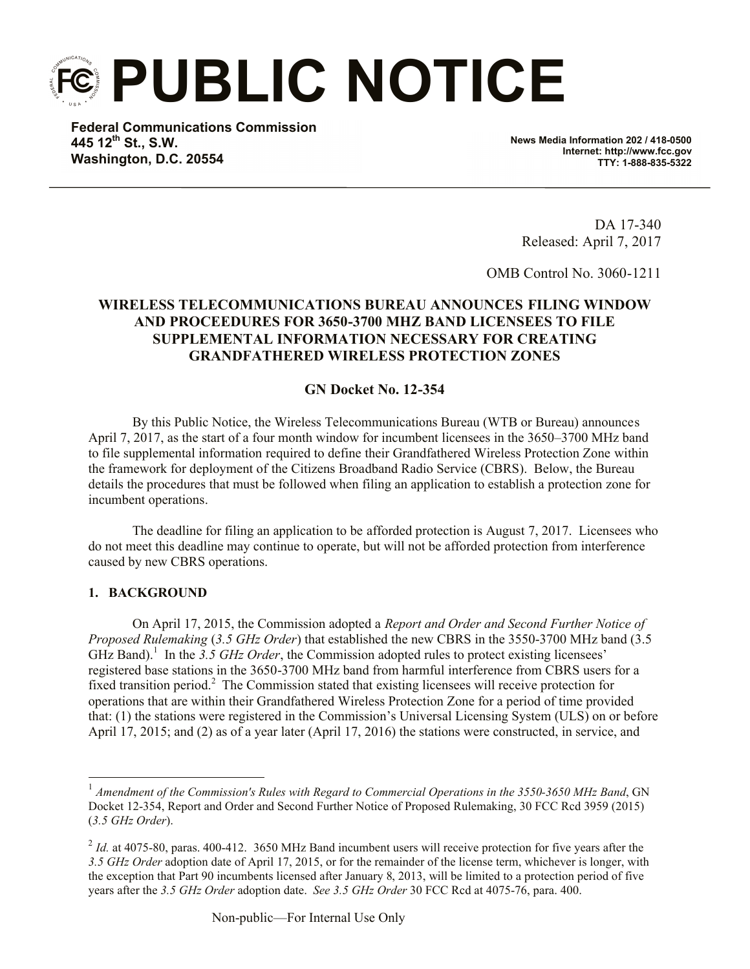**PUBLIC NOTICE**

**Federal Communications Commission 445 12th St., S.W. Washington, D.C. 20554**

**News Media Information 202 / 418-0500 Internet: http://www.fcc.gov TTY: 1-888-835-5322**

DA 17-340 Released: April 7, 2017

OMB Control No. 3060-1211

# **WIRELESS TELECOMMUNICATIONS BUREAU ANNOUNCES FILING WINDOW AND PROCEEDURES FOR 3650-3700 MHZ BAND LICENSEES TO FILE SUPPLEMENTAL INFORMATION NECESSARY FOR CREATING GRANDFATHERED WIRELESS PROTECTION ZONES**

## **GN Docket No. 12-354**

By this Public Notice, the Wireless Telecommunications Bureau (WTB or Bureau) announces April 7, 2017, as the start of a four month window for incumbent licensees in the 3650–3700 MHz band to file supplemental information required to define their Grandfathered Wireless Protection Zone within the framework for deployment of the Citizens Broadband Radio Service (CBRS). Below, the Bureau details the procedures that must be followed when filing an application to establish a protection zone for incumbent operations.

The deadline for filing an application to be afforded protection is August 7, 2017. Licensees who do not meet this deadline may continue to operate, but will not be afforded protection from interference caused by new CBRS operations.

## **1. BACKGROUND**

On April 17, 2015, the Commission adopted a *Report and Order and Second Further Notice of Proposed Rulemaking* (*3.5 GHz Order*) that established the new CBRS in the 3550-3700 MHz band (3.5  $GHZ$  Band).<sup>1</sup> In the 3.5 GHz Order, the Commission adopted rules to protect existing licensees' registered base stations in the 3650-3700 MHz band from harmful interference from CBRS users for a fixed transition period.<sup>2</sup> The Commission stated that existing licensees will receive protection for operations that are within their Grandfathered Wireless Protection Zone for a period of time provided that: (1) the stations were registered in the Commission's Universal Licensing System (ULS) on or before April 17, 2015; and (2) as of a year later (April 17, 2016) the stations were constructed, in service, and

 1 *Amendment of the Commission's Rules with Regard to Commercial Operations in the 3550-3650 MHz Band*, GN Docket 12-354, Report and Order and Second Further Notice of Proposed Rulemaking, 30 FCC Rcd 3959 (2015) (*3.5 GHz Order*).

 $<sup>2</sup>$  *Id.* at 4075-80, paras. 400-412. 3650 MHz Band incumbent users will receive protection for five years after the</sup> *3.5 GHz Order* adoption date of April 17, 2015, or for the remainder of the license term, whichever is longer, with the exception that Part 90 incumbents licensed after January 8, 2013, will be limited to a protection period of five years after the *3.5 GHz Order* adoption date. *See 3.5 GHz Order* 30 FCC Rcd at 4075-76, para. 400.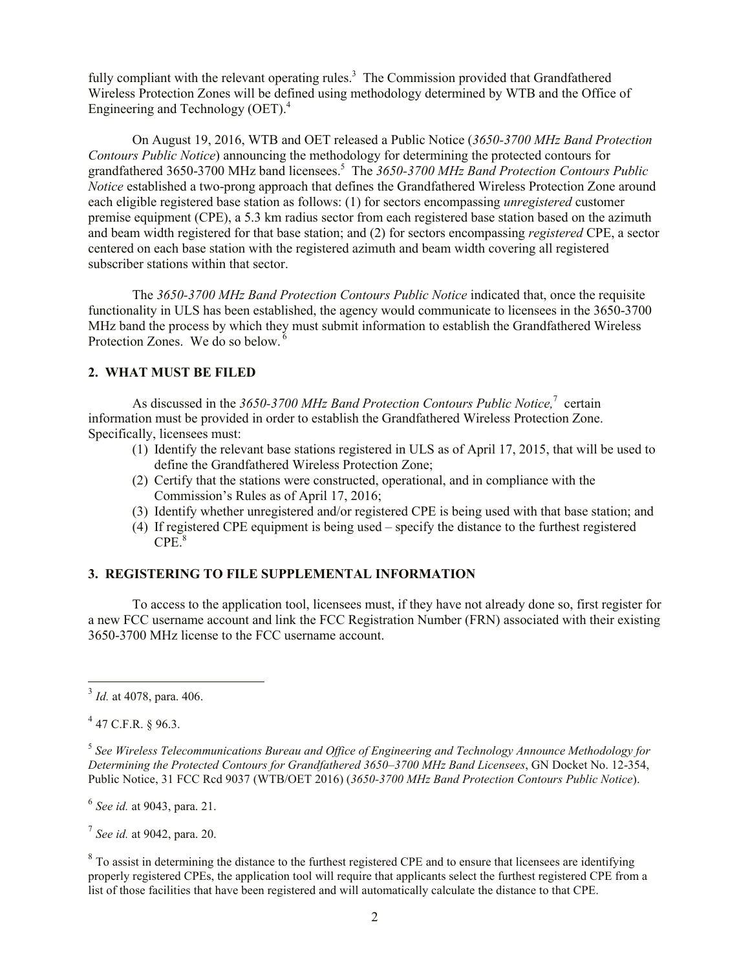fully compliant with the relevant operating rules.<sup>3</sup> The Commission provided that Grandfathered Wireless Protection Zones will be defined using methodology determined by WTB and the Office of Engineering and Technology (OET). 4

On August 19, 2016, WTB and OET released a Public Notice (*3650-3700 MHz Band Protection Contours Public Notice*) announcing the methodology for determining the protected contours for grandfathered 3650-3700 MHz band licensees. 5 The *3650-3700 MHz Band Protection Contours Public Notice* established a two-prong approach that defines the Grandfathered Wireless Protection Zone around each eligible registered base station as follows: (1) for sectors encompassing *unregistered* customer premise equipment (CPE), a 5.3 km radius sector from each registered base station based on the azimuth and beam width registered for that base station; and (2) for sectors encompassing *registered* CPE, a sector centered on each base station with the registered azimuth and beam width covering all registered subscriber stations within that sector.

The *3650-3700 MHz Band Protection Contours Public Notice* indicated that, once the requisite functionality in ULS has been established, the agency would communicate to licensees in the 3650-3700 MHz band the process by which they must submit information to establish the Grandfathered Wireless Protection Zones. We do so below.<sup>6</sup>

## **2. WHAT MUST BE FILED**

As discussed in the 3650-3700 MHz Band Protection Contours Public Notice,<sup>7</sup> certain information must be provided in order to establish the Grandfathered Wireless Protection Zone. Specifically, licensees must:

- (1) Identify the relevant base stations registered in ULS as of April 17, 2015, that will be used to define the Grandfathered Wireless Protection Zone;
- (2) Certify that the stations were constructed, operational, and in compliance with the Commission's Rules as of April 17, 2016;
- (3) Identify whether unregistered and/or registered CPE is being used with that base station; and
- (4) If registered CPE equipment is being used specify the distance to the furthest registered CPE. 8

## **3. REGISTERING TO FILE SUPPLEMENTAL INFORMATION**

To access to the application tool, licensees must, if they have not already done so, first register for a new FCC username account and link the FCC Registration Number (FRN) associated with their existing 3650-3700 MHz license to the FCC username account.

 $4$  47 C.F.R. § 96.3.

 $\overline{a}$ 

5 *See Wireless Telecommunications Bureau and Office of Engineering and Technology Announce Methodology for Determining the Protected Contours for Grandfathered 3650–3700 MHz Band Licensees*, GN Docket No. 12-354, Public Notice, 31 FCC Rcd 9037 (WTB/OET 2016) (*3650-3700 MHz Band Protection Contours Public Notice*).

6 *See id.* at 9043, para. 21.

7 *See id.* at 9042, para. 20.

 $8$  To assist in determining the distance to the furthest registered CPE and to ensure that licensees are identifying properly registered CPEs, the application tool will require that applicants select the furthest registered CPE from a list of those facilities that have been registered and will automatically calculate the distance to that CPE.

<sup>3</sup> *Id.* at 4078, para. 406.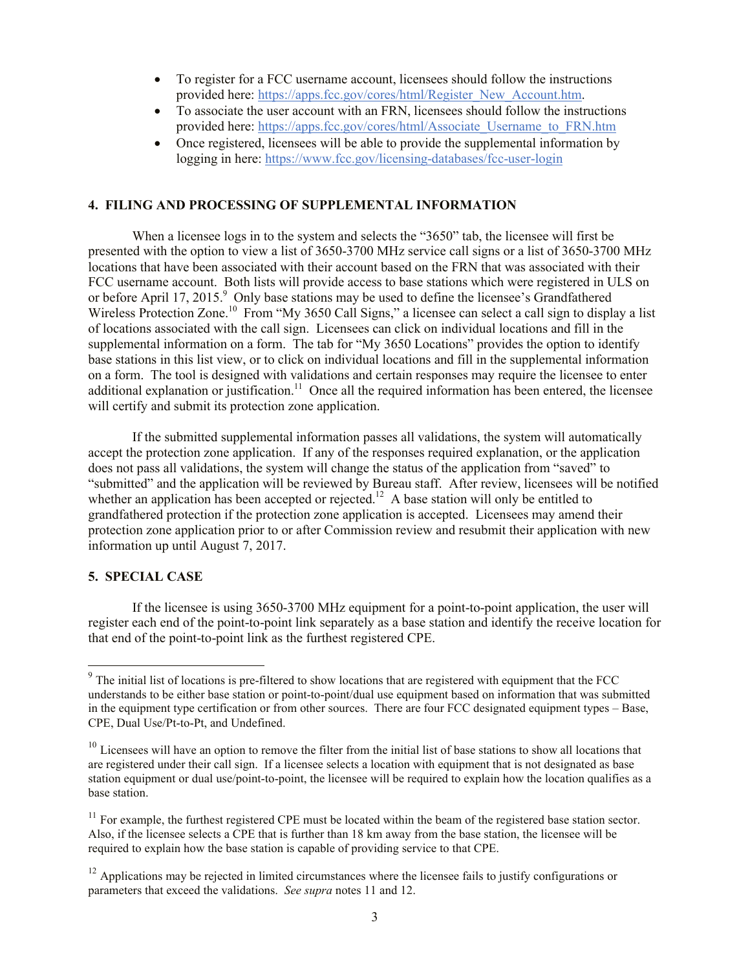- To register for a FCC username account, licensees should follow the instructions provided here: https://apps.fcc.gov/cores/html/Register\_New\_Account.htm.
- To associate the user account with an FRN, licensees should follow the instructions provided here: https://apps.fcc.gov/cores/html/Associate\_Username\_to\_FRN.htm
- Once registered, licensees will be able to provide the supplemental information by logging in here: https://www.fcc.gov/licensing-databases/fcc-user-login

## **4. FILING AND PROCESSING OF SUPPLEMENTAL INFORMATION**

When a licensee logs in to the system and selects the "3650" tab, the licensee will first be presented with the option to view a list of 3650-3700 MHz service call signs or a list of 3650-3700 MHz locations that have been associated with their account based on the FRN that was associated with their FCC username account. Both lists will provide access to base stations which were registered in ULS on or before April 17, 2015.<sup>9</sup> Only base stations may be used to define the licensee's Grandfathered Wireless Protection Zone.<sup>10</sup> From "My 3650 Call Signs," a licensee can select a call sign to display a list of locations associated with the call sign. Licensees can click on individual locations and fill in the supplemental information on a form. The tab for "My 3650 Locations" provides the option to identify base stations in this list view, or to click on individual locations and fill in the supplemental information on a form. The tool is designed with validations and certain responses may require the licensee to enter additional explanation or justification.<sup>11</sup> Once all the required information has been entered, the licensee will certify and submit its protection zone application.

If the submitted supplemental information passes all validations, the system will automatically accept the protection zone application. If any of the responses required explanation, or the application does not pass all validations, the system will change the status of the application from "saved" to "submitted" and the application will be reviewed by Bureau staff. After review, licensees will be notified whether an application has been accepted or rejected.<sup>12</sup> A base station will only be entitled to grandfathered protection if the protection zone application is accepted. Licensees may amend their protection zone application prior to or after Commission review and resubmit their application with new information up until August 7, 2017.

#### **5. SPECIAL CASE**

 $\overline{\phantom{a}}$ 

If the licensee is using 3650-3700 MHz equipment for a point-to-point application, the user will register each end of the point-to-point link separately as a base station and identify the receive location for that end of the point-to-point link as the furthest registered CPE.

 $9$  The initial list of locations is pre-filtered to show locations that are registered with equipment that the FCC understands to be either base station or point-to-point/dual use equipment based on information that was submitted in the equipment type certification or from other sources. There are four FCC designated equipment types – Base, CPE, Dual Use/Pt-to-Pt, and Undefined.

 $10$  Licensees will have an option to remove the filter from the initial list of base stations to show all locations that are registered under their call sign. If a licensee selects a location with equipment that is not designated as base station equipment or dual use/point-to-point, the licensee will be required to explain how the location qualifies as a base station.

 $11$  For example, the furthest registered CPE must be located within the beam of the registered base station sector. Also, if the licensee selects a CPE that is further than 18 km away from the base station, the licensee will be required to explain how the base station is capable of providing service to that CPE.

 $12$  Applications may be rejected in limited circumstances where the licensee fails to justify configurations or parameters that exceed the validations. *See supra* notes 11 and 12.